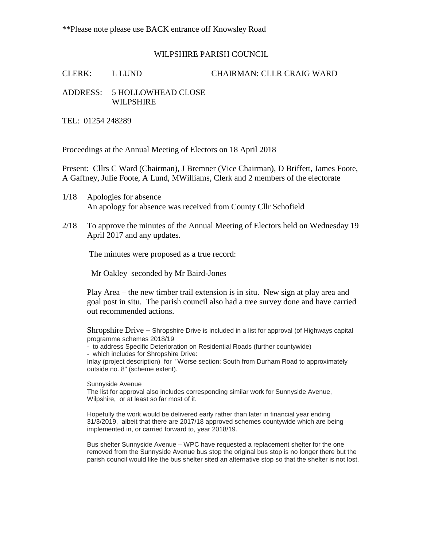## WILPSHIRE PARISH COUNCIL

CLERK: L LUND CHAIRMAN: CLLR CRAIG WARD

## ADDRESS: 5 HOLLOWHEAD CLOSE WILPSHIRE

TEL: 01254 248289

Proceedings at the Annual Meeting of Electors on 18 April 2018

Present: Cllrs C Ward (Chairman), J Bremner (Vice Chairman), D Briffett, James Foote, A Gaffney, Julie Foote, A Lund, MWilliams, Clerk and 2 members of the electorate

- 1/18 Apologies for absence An apology for absence was received from County Cllr Schofield
- 2/18 To approve the minutes of the Annual Meeting of Electors held on Wednesday 19 April 2017 and any updates.

The minutes were proposed as a true record:

Mr Oakley seconded by Mr Baird-Jones

Play Area – the new timber trail extension is in situ. New sign at play area and goal post in situ. The parish council also had a tree survey done and have carried out recommended actions.

Shropshire Drive – Shropshire Drive is included in a list for approval (of Highways capital programme schemes 2018/19

- to address Specific Deterioration on Residential Roads (further countywide) - which includes for Shropshire Drive:

Inlay (project description) for "Worse section: South from Durham Road to approximately outside no. 8" (scheme extent).

Sunnyside Avenue

The list for approval also includes corresponding similar work for Sunnyside Avenue, Wilpshire, or at least so far most of it.

Hopefully the work would be delivered early rather than later in financial year ending 31/3/2019, albeit that there are 2017/18 approved schemes countywide which are being implemented in, or carried forward to, year 2018/19.

Bus shelter Sunnyside Avenue – WPC have requested a replacement shelter for the one removed from the Sunnyside Avenue bus stop the original bus stop is no longer there but the parish council would like the bus shelter sited an alternative stop so that the shelter is not lost.